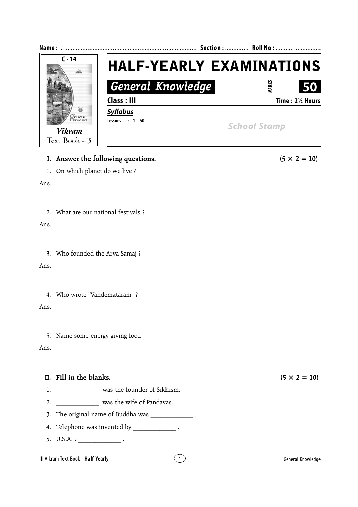

## **I.** Answer the following questions.  $(5 \times 2 = 10)$

1. On which planet do we live ?

Ans.

## 2. What are our national festivals ?

Ans.

3. Who founded the Arya Samaj ?

Ans.

4. Who wrote "Vandemataram" ?

Ans.

5. Name some energy giving food.

Ans.

## **II.** Fill in the blanks.  $(5 \times 2 = 10)$

- 1. \_\_\_\_\_\_\_\_\_\_\_\_\_\_\_ was the founder of Sikhism.
- 2. \_\_\_\_\_\_\_\_\_\_\_\_\_\_\_ was the wife of Pandavas.
- 3. The original name of Buddha was \_\_\_\_\_\_\_\_\_\_\_\_\_\_\_\_.
- 4. Telephone was invented by  $\qquad \qquad$ .
- 5.  $U.S.A. :$

## III Vikram Text Book - **Half-Yearly** and the second second  $(1)$